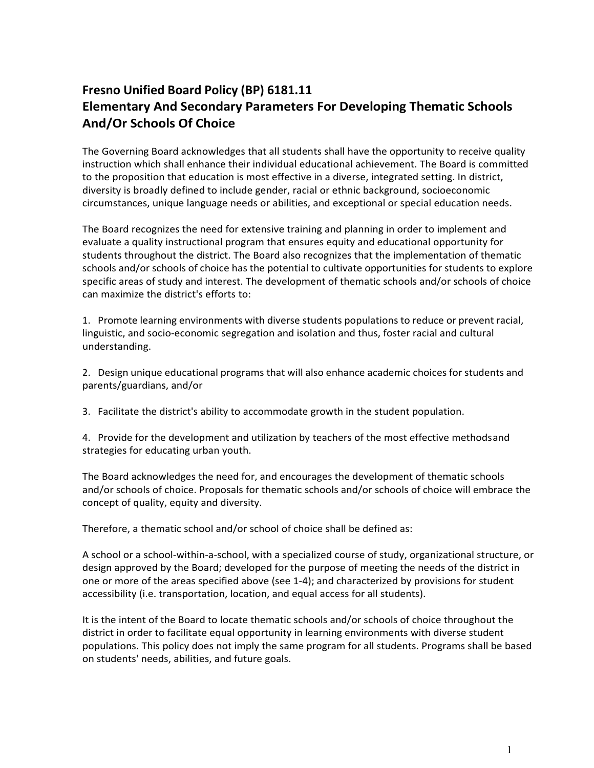## **Fresno Unified Board Policy (BP) 6181.11 Elementary And Secondary Parameters For Developing Thematic Schools And/Or Schools Of Choice**

The Governing Board acknowledges that all students shall have the opportunity to receive quality instruction which shall enhance their individual educational achievement. The Board is committed to the proposition that education is most effective in a diverse, integrated setting. In district, diversity is broadly defined to include gender, racial or ethnic background, socioeconomic circumstances, unique language needs or abilities, and exceptional or special education needs.

The Board recognizes the need for extensive training and planning in order to implement and evaluate a quality instructional program that ensures equity and educational opportunity for students throughout the district. The Board also recognizes that the implementation of thematic schools and/or schools of choice has the potential to cultivate opportunities for students to explore specific areas of study and interest. The development of thematic schools and/or schools of choice can maximize the district's efforts to:

1. Promote learning environments with diverse students populations to reduce or prevent racial, linguistic, and socio-economic segregation and isolation and thus, foster racial and cultural understanding.

2. Design unique educational programs that will also enhance academic choices for students and parents/guardians, and/or

3. Facilitate the district's ability to accommodate growth in the student population.

4. Provide for the development and utilization by teachers of the most effective methodsand strategies for educating urban youth.

The Board acknowledges the need for, and encourages the development of thematic schools and/or schools of choice. Proposals for thematic schools and/or schools of choice will embrace the concept of quality, equity and diversity.

Therefore, a thematic school and/or school of choice shall be defined as:

A school or a school-within-a-school, with a specialized course of study, organizational structure, or design approved by the Board; developed for the purpose of meeting the needs of the district in one or more of the areas specified above (see 1-4); and characterized by provisions for student accessibility (i.e. transportation, location, and equal access for all students).

It is the intent of the Board to locate thematic schools and/or schools of choice throughout the district in order to facilitate equal opportunity in learning environments with diverse student populations. This policy does not imply the same program for all students. Programs shall be based on students' needs, abilities, and future goals.